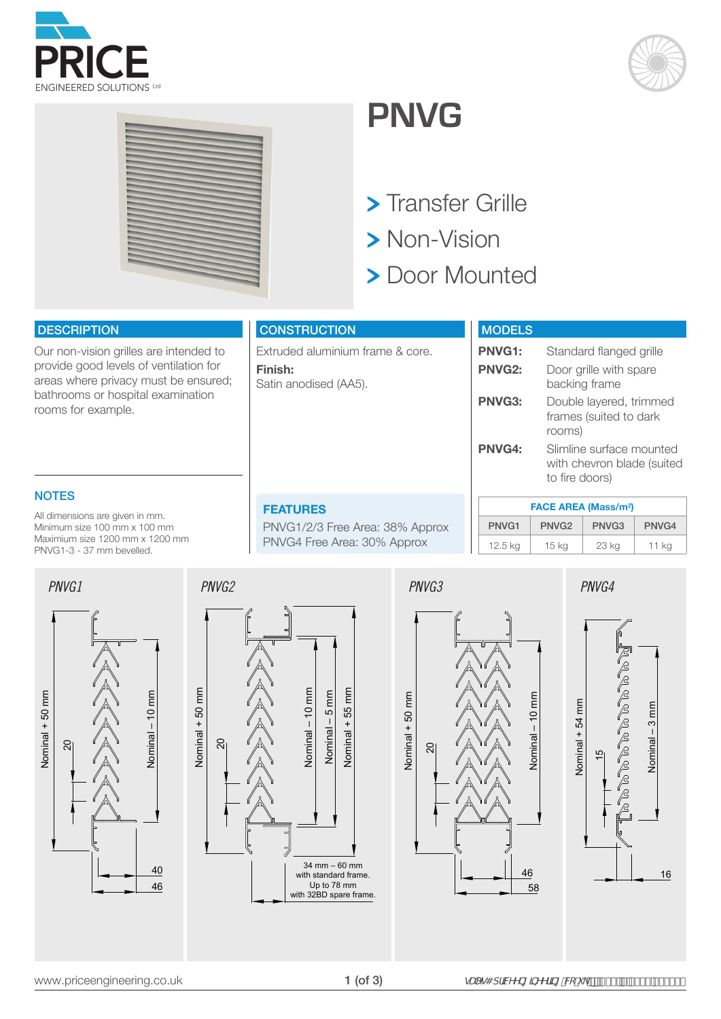





# **PNVG**

- > Transfer Grille
- > Non-Vision
- > Door Mounted

#### **DESCRIPTION**

Our non-vision grilles are intended to provide good levels of ventilation for areas where privacy must be ensured; bathrooms or hospital examination rooms for example.

### **CONSTRUCTION**

Extruded aluminium frame & core. **Finish:**  Satin anodised (AA5).

| <b>MODELS</b> |                                                                          |
|---------------|--------------------------------------------------------------------------|
| <b>PNVG1:</b> | Standard flanged grille                                                  |
| <b>PNVG2:</b> | Door grille with spare<br>backing frame                                  |
| PNVG3:        | Double layered, trimmed<br>frames (suited to dark<br>rooms)              |
| <b>PNVG4:</b> | Slimline surface mounted<br>with chevron blade (suited<br>to fire doors) |

## **NOTES**

All dimensions are given in mm. Minimum size 100 mm x 100 mm Maximium size 1200 mm x 1200 mm PNVG1-3 - 37 mm bevelled.

#### **FEATURES**

PNVG1/2/3 Free Area: 38% Approx PNVG4 Free Area: 30% Approx

|                   | <b>FACE AREA (Mass/m<sup>2</sup>)</b> |                   |         |  |  |  |  |  |
|-------------------|---------------------------------------|-------------------|---------|--|--|--|--|--|
| PNVG <sub>1</sub> | PNVG <sub>2</sub>                     | PNVG <sub>3</sub> | PNVG4   |  |  |  |  |  |
| $12.5$ kg         | 15 <sub>kg</sub>                      | 23 kg             | $11$ kg |  |  |  |  |  |





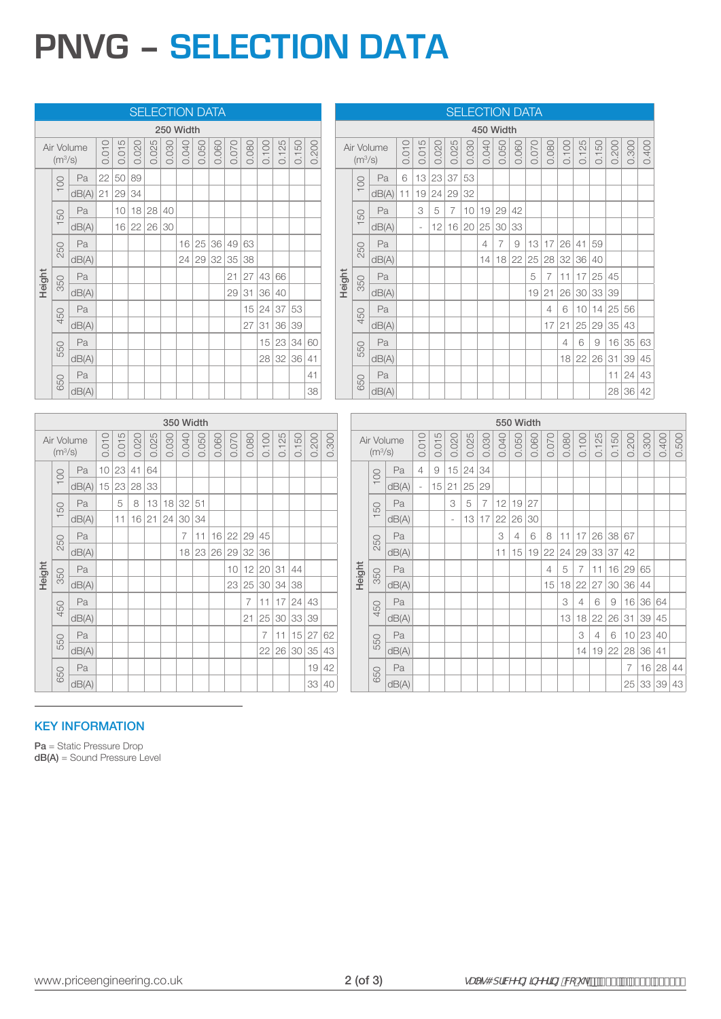# **PNVG – SELECTION DATA**

|        | <b>SELECTION DATA</b>                                        |                     |          |          |             |       |          |                |       |       |                   |                |                |                |       |          |                     |            |        |                                   |       |                          |             |                          | <b>SELECTION DATA</b> |                |                |                                                           |                         |                |       |                |            |                                                           |          |                   |                |
|--------|--------------------------------------------------------------|---------------------|----------|----------|-------------|-------|----------|----------------|-------|-------|-------------------|----------------|----------------|----------------|-------|----------|---------------------|------------|--------|-----------------------------------|-------|--------------------------|-------------|--------------------------|-----------------------|----------------|----------------|-----------------------------------------------------------|-------------------------|----------------|-------|----------------|------------|-----------------------------------------------------------|----------|-------------------|----------------|
|        | 250 Width                                                    |                     |          |          |             |       |          |                |       |       |                   |                |                |                |       |          |                     |            |        |                                   |       |                          | 450 Width   |                          |                       |                |                |                                                           |                         |                |       |                |            |                                                           |          |                   |                |
|        | 0.015<br>0.010<br>0.020<br>Air Volume<br>(m <sup>3</sup> /s) |                     | 0.025    |          | 0.030       | 0.040 | 0.050    | 0.060          | 0.070 | 0.080 | 0.100             | 0.125          | 0.150          | 0.200          |       |          | (m <sup>3</sup> /s) | Air Volume | 0.010  | 0.015                             | 0.020 | 0.025                    | 0.030       | 0.040                    | 0.050                 | 0.060          | 0.070          | 0.080                                                     | 0.100                   | 0.125          | 0.150 | 0.200          | 0.300      | 0.400                                                     |          |                   |                |
|        | 8                                                            | Pa                  |          | 22 50 89 |             |       |          |                |       |       |                   |                |                |                |       |          |                     |            | 8      | Pa                                | 6     |                          | 13 23 37    |                          | 53                    |                |                |                                                           |                         |                |       |                |            |                                                           |          |                   |                |
|        |                                                              | $dB(A)$ 21 29 34    |          |          |             |       |          |                |       |       |                   |                |                |                |       |          |                     |            |        | $dB(A)$ 11                        |       |                          |             | $19$ 24 29 32            |                       |                |                |                                                           |                         |                |       |                |            |                                                           |          |                   |                |
|        | 50                                                           | Pa                  |          |          | 10 18 28 40 |       |          |                |       |       |                   |                |                |                |       |          |                     |            | 50     | Pa                                |       | 3                        | 5           | $\overline{7}$           |                       | 10 19 29 42    |                |                                                           |                         |                |       |                |            |                                                           |          |                   |                |
|        |                                                              | dB(A)               |          |          | 16 22 26 30 |       |          |                |       |       |                   |                |                |                |       |          |                     |            |        | dB(A)                             |       | $\overline{\phantom{a}}$ |             | 12 16 20 25 30 33        |                       |                |                |                                                           |                         |                |       |                |            |                                                           |          |                   |                |
|        | 250                                                          | Pa                  |          |          |             |       |          |                |       |       | 16 25 36 49 63    |                |                |                |       |          |                     |            | 250    | Pa                                |       |                          |             |                          |                       | $\sqrt{4}$     | $\overline{7}$ | $\mathcal{G}% _{M_{1},M_{2}}^{\alpha,\beta}(\mathcal{G})$ |                         |                |       | 13 17 26 41    | 59         |                                                           |          |                   |                |
|        |                                                              | dB(A)               |          |          |             |       |          |                |       |       | 24 29 32 35 38    |                |                |                |       |          |                     |            |        | dB(A)                             |       |                          |             |                          |                       |                |                |                                                           | 14 18 22 25 28 32 36 40 |                |       |                |            |                                                           |          |                   |                |
| Height | 350                                                          | Pa                  |          |          |             |       |          |                |       |       | 21                |                | 27 43 66       |                |       |          |                     | Height     | 350    | Pa                                |       |                          |             |                          |                       |                |                |                                                           | 5                       | $\overline{7}$ | 11    | $17$ 25 45     |            |                                                           |          |                   |                |
|        |                                                              | dB(A)               |          |          |             |       |          |                |       |       | 29                | 31             | 36 40          |                |       |          |                     |            |        | dB(A)                             |       |                          |             |                          |                       |                |                |                                                           | 19                      | 21             | 26    | 30 33 39       |            |                                                           |          |                   |                |
|        | 450                                                          | Pa                  |          |          |             |       |          |                |       |       |                   |                |                | $15$ 24 37 53  |       |          |                     |            |        | Pa                                |       |                          |             |                          |                       |                |                |                                                           |                         | 4              | 6     |                |            | 10 14 25 56                                               |          |                   |                |
|        |                                                              | dB(A)               |          |          |             |       |          |                |       |       |                   | 27             |                | 31 36 39       |       |          |                     |            | 450    | dB(A)                             |       |                          |             |                          |                       |                |                |                                                           |                         | 17             | 21    |                |            | 25 29 35 43                                               |          |                   |                |
|        | 550                                                          | Pa                  |          |          |             |       |          |                |       |       |                   |                |                | 15 23 34 60    |       |          |                     |            | 550    | Pa                                |       |                          |             |                          |                       |                |                |                                                           |                         |                | 4     | 6              | $\emph{9}$ | 16 35 63                                                  |          |                   |                |
|        |                                                              | dB(A)               |          |          |             |       |          |                |       |       |                   |                |                | 28 32 36 41    |       |          |                     |            |        | dB(A)                             |       |                          |             |                          |                       |                |                |                                                           |                         |                |       |                |            | 18 22 26 31 39 45                                         |          |                   |                |
|        | 650                                                          | Pa                  |          |          |             |       |          |                |       |       |                   |                |                |                |       | 41       |                     |            |        | Pa                                |       |                          |             |                          |                       |                |                |                                                           |                         |                |       |                |            |                                                           | 11 24 43 |                   |                |
|        |                                                              | dB(A)               |          |          |             |       |          |                |       |       |                   |                |                |                |       | 38       |                     |            | 650    | dB(A)                             |       |                          |             |                          |                       |                |                |                                                           |                         |                |       |                |            |                                                           | 28 36 42 |                   |                |
|        |                                                              |                     |          |          |             |       |          |                |       |       |                   |                |                |                |       |          |                     |            |        |                                   |       |                          |             |                          |                       |                |                |                                                           |                         |                |       |                |            |                                                           |          |                   |                |
|        |                                                              |                     |          |          |             |       |          | 350 Width      |       |       |                   |                |                |                |       |          |                     |            |        |                                   |       |                          |             |                          |                       |                |                |                                                           | 550 Width               |                |       |                |            |                                                           |          |                   |                |
|        | (m <sup>3</sup> /s)                                          | Air Volume          | 0.010    | 0.015    | 0.020       | 0.025 | 0.030    | 0.040          | 0.050 | 0.060 | 0.070             | 0.080          | 0.100          | 0.125          | 0.150 | 0.200    | 0.300               |            |        | Air Volume<br>(m <sup>3</sup> /s) |       | 0.010                    | 0.015       | 0.020                    | 0.025                 | 0.030          | 0.040          | 0.050                                                     | 0.060                   | 0.070          | 0.080 | 0.100          | 0.125      | 0.150                                                     | 0.200    | 0.300             | 0.500<br>0.400 |
|        | 100                                                          | Pa                  | 10 23 41 |          |             | 64    |          |                |       |       |                   |                |                |                |       |          |                     |            |        |                                   | Pa    | $\overline{4}$           | $\hbox{ }9$ |                          | 15 24 34              |                |                |                                                           |                         |                |       |                |            |                                                           |          |                   |                |
|        |                                                              | $dB(A)$ 15 23 28 33 |          |          |             |       |          |                |       |       |                   |                |                |                |       |          |                     |            |        | 100                               | dB(A) |                          |             | 15 21                    | 25 29                 |                |                |                                                           |                         |                |       |                |            |                                                           |          |                   |                |
|        | 50                                                           | Pa                  |          | 5        | $\,8\,$     |       |          | 13 18 32 51    |       |       |                   |                |                |                |       |          |                     |            |        |                                   | Pa    |                          |             | 3                        | $\mathbf 5$           | $\overline{7}$ | $12$ 19 27     |                                                           |                         |                |       |                |            |                                                           |          |                   |                |
|        |                                                              | dB(A)               |          | 11       |             |       | 16 21 24 | 30 34          |       |       |                   |                |                |                |       |          |                     |            |        | 150                               | dB(A) |                          |             | $\overline{\phantom{a}}$ |                       | 13 17 22       |                | 26 30                                                     |                         |                |       |                |            |                                                           |          |                   |                |
|        | 250                                                          | Pa                  |          |          |             |       |          | $\overline{7}$ |       |       | $11$ 16 22 29 45  |                |                |                |       |          |                     |            |        |                                   | Pa    |                          |             |                          |                       |                | 3              | $\overline{4}$                                            | 6                       | 8              |       |                |            | 11 17 26 38 67                                            |          |                   |                |
|        |                                                              | dB(A)               |          |          |             |       |          |                |       |       | 18 23 26 29 32 36 |                |                |                |       |          |                     |            |        | 250                               | dB(A) |                          |             |                          |                       |                |                |                                                           | $11$ 15 19              | 22             | 24    |                |            | 29 33 37 42                                               |          |                   |                |
|        |                                                              | Pa                  |          |          |             |       |          |                |       |       |                   |                |                | 10 12 20 31 44 |       |          |                     |            | Height |                                   | Pa    |                          |             |                          |                       |                |                |                                                           |                         | $\overline{4}$ | 5     | $\overline{7}$ |            | 11 16 29 65                                               |          |                   |                |
| Height | 350                                                          | dB(A)               |          |          |             |       |          |                |       |       |                   |                |                | 23 25 30 34 38 |       |          |                     |            |        | 350                               | dB(A) |                          |             |                          |                       |                |                |                                                           |                         | 15             |       |                |            | $18$ 22 27 30 36 44                                       |          |                   |                |
|        |                                                              | Pa                  |          |          |             |       |          |                |       |       |                   | $\overline{7}$ |                | 11 17          | 24 43 |          |                     |            |        |                                   | Pa    |                          |             |                          |                       |                |                |                                                           |                         |                | 3     | $\overline{4}$ | $\,6\,$    | $\mathcal{G}% _{M_{1},M_{2}}^{\alpha,\beta}(\mathcal{G})$ |          | 16 36 64          |                |
|        | 450                                                          | dB(A)               |          |          |             |       |          |                |       |       |                   | 21             |                | 25 30 33 39    |       |          |                     |            |        | 450                               | dB(A) |                          |             |                          |                       |                |                |                                                           |                         |                | 13    |                |            |                                                           |          | 18 22 26 31 39 45 |                |
|        |                                                              | Pa                  |          |          |             |       |          |                |       |       |                   |                | $\overline{7}$ | 11             |       | 15 27 62 |                     |            |        |                                   | Pa    |                          |             |                          |                       |                |                |                                                           |                         |                |       | 3              | $\sqrt{4}$ | $\,6\,$                                                   |          | 10 23 40          |                |
|        | 550                                                          | dB(A)               |          |          |             |       |          |                |       |       |                   |                |                | 22 26 30 35 43 |       |          |                     |            |        | 550                               | dB(A) |                          |             |                          |                       |                |                |                                                           |                         |                |       | 14             |            |                                                           |          | 19 22 28 36 41    |                |
|        | 650                                                          | Pa                  |          |          |             |       |          |                |       |       |                   |                |                |                |       |          | 19 42               |            |        | 650                               | Pa    |                          |             |                          |                       |                |                |                                                           |                         |                |       |                |            |                                                           | 7        | 16 28 44          |                |
|        |                                                              | dB(A)               |          |          |             |       |          |                |       |       |                   |                |                |                |       |          | 33 40               |            |        |                                   | dB(A) |                          |             |                          |                       |                |                |                                                           |                         |                |       |                |            |                                                           |          | 25 33 39 43       |                |

### KEY INFORMATION

Pa = Static Pressure Drop dB(A) = Sound Pressure Level